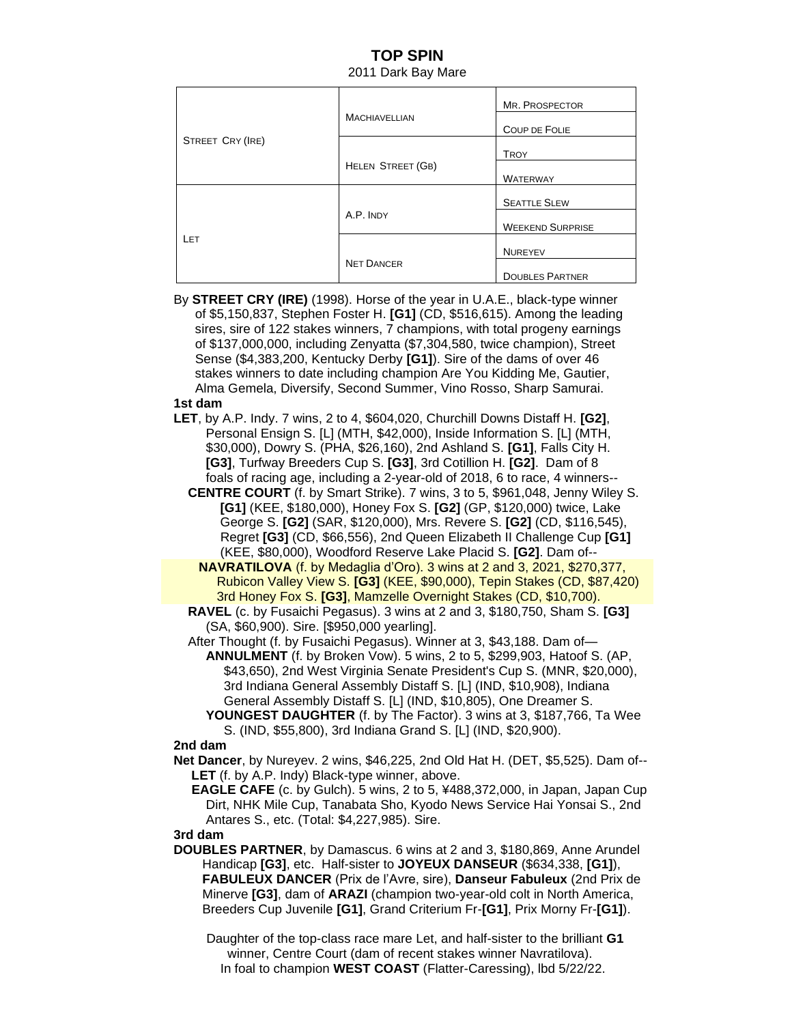# **TOP SPIN** 2011 Dark Bay Mare

| STREET CRY (IRE) | <b>MACHIAVELLIAN</b>     | MR. PROSPECTOR          |
|------------------|--------------------------|-------------------------|
|                  |                          | <b>COUP DE FOLIE</b>    |
|                  |                          | <b>TROY</b>             |
|                  | <b>HELEN STREET (GB)</b> | <b>WATERWAY</b>         |
| LET              | A.P. INDY                | <b>SEATTLE SLEW</b>     |
|                  |                          | <b>WEEKEND SURPRISE</b> |
|                  |                          | <b>NUREYEV</b>          |
|                  | <b>NET DANCER</b>        | <b>DOUBLES PARTNER</b>  |

By **STREET CRY (IRE)** (1998). Horse of the year in U.A.E., black-type winner of \$5,150,837, Stephen Foster H. **[G1]** (CD, \$516,615). Among the leading sires, sire of 122 stakes winners, 7 champions, with total progeny earnings of \$137,000,000, including Zenyatta (\$7,304,580, twice champion), Street Sense (\$4,383,200, Kentucky Derby **[G1]**). Sire of the dams of over 46 stakes winners to date including champion Are You Kidding Me, Gautier, Alma Gemela, Diversify, Second Summer, Vino Rosso, Sharp Samurai.

### **1st dam**

- **LET**, by A.P. Indy. 7 wins, 2 to 4, \$604,020, Churchill Downs Distaff H. **[G2]**, Personal Ensign S. [L] (MTH, \$42,000), Inside Information S. [L] (MTH, \$30,000), Dowry S. (PHA, \$26,160), 2nd Ashland S. **[G1]**, Falls City H. **[G3]**, Turfway Breeders Cup S. **[G3]**, 3rd Cotillion H. **[G2]**. Dam of 8 foals of racing age, including a 2-year-old of 2018, 6 to race, 4 winners--
	- **CENTRE COURT** (f. by Smart Strike). 7 wins, 3 to 5, \$961,048, Jenny Wiley S. **[G1]** (KEE, \$180,000), Honey Fox S. **[G2]** (GP, \$120,000) twice, Lake George S. **[G2]** (SAR, \$120,000), Mrs. Revere S. **[G2]** (CD, \$116,545), Regret **[G3]** (CD, \$66,556), 2nd Queen Elizabeth II Challenge Cup **[G1]** (KEE, \$80,000), Woodford Reserve Lake Placid S. **[G2]**. Dam of--
		- **NAVRATILOVA** (f. by Medaglia d'Oro). 3 wins at 2 and 3, 2021, \$270,377, Rubicon Valley View S. **[G3]** (KEE, \$90,000), Tepin Stakes (CD, \$87,420) 3rd Honey Fox S. **[G3]**, Mamzelle Overnight Stakes (CD, \$10,700).
	- **RAVEL** (c. by Fusaichi Pegasus). 3 wins at 2 and 3, \$180,750, Sham S. **[G3]** (SA, \$60,900). Sire. [\$950,000 yearling].
	- After Thought (f. by Fusaichi Pegasus). Winner at 3, \$43,188. Dam of— **ANNULMENT** (f. by Broken Vow). 5 wins, 2 to 5, \$299,903, Hatoof S. (AP, \$43,650), 2nd West Virginia Senate President's Cup S. (MNR, \$20,000), 3rd Indiana General Assembly Distaff S. [L] (IND, \$10,908), Indiana General Assembly Distaff S. [L] (IND, \$10,805), One Dreamer S.
		- **YOUNGEST DAUGHTER** (f. by The Factor). 3 wins at 3, \$187,766, Ta Wee S. (IND, \$55,800), 3rd Indiana Grand S. [L] (IND, \$20,900).

### **2nd dam**

 **Net Dancer**, by Nureyev. 2 wins, \$46,225, 2nd Old Hat H. (DET, \$5,525). Dam of-- **LET** (f. by A.P. Indy) Black-type winner, above.

 **EAGLE CAFE** (c. by Gulch). 5 wins, 2 to 5, ¥488,372,000, in Japan, Japan Cup Dirt, NHK Mile Cup, Tanabata Sho, Kyodo News Service Hai Yonsai S., 2nd Antares S., etc. (Total: \$4,227,985). Sire.

### **3rd dam**

 **DOUBLES PARTNER**, by Damascus. 6 wins at 2 and 3, \$180,869, Anne Arundel Handicap **[G3]**, etc. Half-sister to **JOYEUX DANSEUR** (\$634,338, **[G1]**), **FABULEUX DANCER** (Prix de l'Avre, sire), **Danseur Fabuleux** (2nd Prix de Minerve **[G3]**, dam of **ARAZI** (champion two-year-old colt in North America, Breeders Cup Juvenile **[G1]**, Grand Criterium Fr-**[G1]**, Prix Morny Fr-**[G1]**).

 Daughter of the top-class race mare Let, and half-sister to the brilliant **G1** winner, Centre Court (dam of recent stakes winner Navratilova). In foal to champion **WEST COAST** (Flatter-Caressing), lbd 5/22/22.